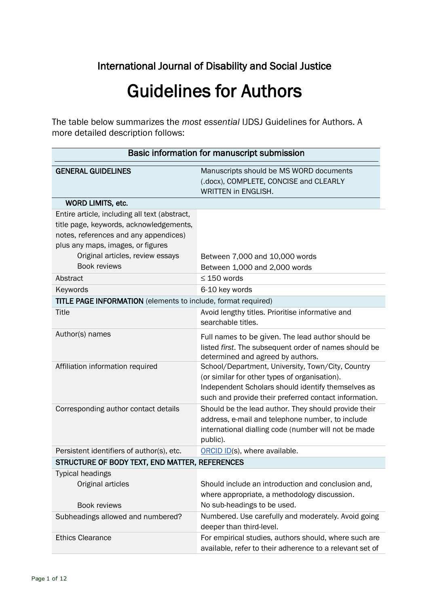## International Journal of Disability and Social Justice

# Guidelines for Authors

The table below summarizes the *most essential* IJDSJ Guidelines for Authors. A more detailed description follows:

| Basic information for manuscript submission                                                                                                                                                                                |                                                                                                                                                                                                                   |
|----------------------------------------------------------------------------------------------------------------------------------------------------------------------------------------------------------------------------|-------------------------------------------------------------------------------------------------------------------------------------------------------------------------------------------------------------------|
| <b>GENERAL GUIDELINES</b>                                                                                                                                                                                                  | Manuscripts should be MS WORD documents<br>(.docx), COMPLETE, CONCISE and CLEARLY<br><b>WRITTEN in ENGLISH.</b>                                                                                                   |
| WORD LIMITS, etc.                                                                                                                                                                                                          |                                                                                                                                                                                                                   |
| Entire article, including all text (abstract,<br>title page, keywords, acknowledgements,<br>notes, references and any appendices)<br>plus any maps, images, or figures<br>Original articles, review essays<br>Book reviews | Between 7,000 and 10,000 words<br>Between 1,000 and 2,000 words                                                                                                                                                   |
| Abstract                                                                                                                                                                                                                   | $\leq$ 150 words                                                                                                                                                                                                  |
| Keywords                                                                                                                                                                                                                   | 6-10 key words                                                                                                                                                                                                    |
| <b>TITLE PAGE INFORMATION</b> (elements to include, format required)                                                                                                                                                       |                                                                                                                                                                                                                   |
| <b>Title</b>                                                                                                                                                                                                               | Avoid lengthy titles. Prioritise informative and<br>searchable titles.                                                                                                                                            |
| Author(s) names                                                                                                                                                                                                            | Full names to be given. The lead author should be<br>listed first. The subsequent order of names should be<br>determined and agreed by authors.                                                                   |
| Affiliation information required                                                                                                                                                                                           | School/Department, University, Town/City, Country<br>(or similar for other types of organisation).<br>Independent Scholars should identify themselves as<br>such and provide their preferred contact information. |
| Corresponding author contact details                                                                                                                                                                                       | Should be the lead author. They should provide their<br>address, e-mail and telephone number, to include<br>international dialling code (number will not be made<br>public).                                      |
| Persistent identifiers of author(s), etc.                                                                                                                                                                                  | ORCID ID(s), where available.                                                                                                                                                                                     |
| STRUCTURE OF BODY TEXT, END MATTER, REFERENCES                                                                                                                                                                             |                                                                                                                                                                                                                   |
| <b>Typical headings</b>                                                                                                                                                                                                    |                                                                                                                                                                                                                   |
| Original articles                                                                                                                                                                                                          | Should include an introduction and conclusion and,<br>where appropriate, a methodology discussion.                                                                                                                |
| <b>Book reviews</b><br>Subheadings allowed and numbered?                                                                                                                                                                   | No sub-headings to be used.<br>Numbered. Use carefully and moderately. Avoid going                                                                                                                                |
| <b>Ethics Clearance</b>                                                                                                                                                                                                    | deeper than third-level.<br>For empirical studies, authors should, where such are<br>available, refer to their adherence to a relevant set of                                                                     |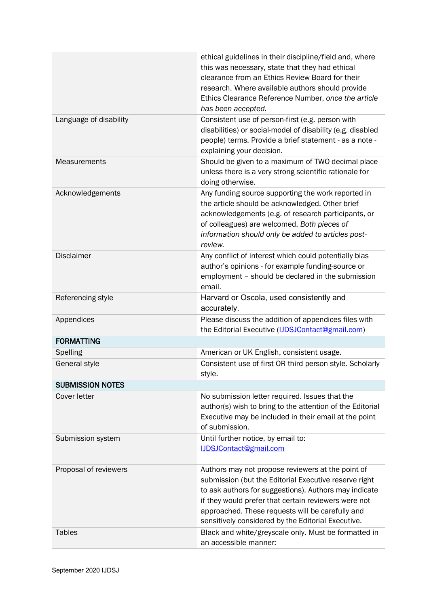|                         | ethical guidelines in their discipline/field and, where<br>this was necessary, state that they had ethical<br>clearance from an Ethics Review Board for their<br>research. Where available authors should provide<br>Ethics Clearance Reference Number, once the article<br>has been accepted.                                        |
|-------------------------|---------------------------------------------------------------------------------------------------------------------------------------------------------------------------------------------------------------------------------------------------------------------------------------------------------------------------------------|
| Language of disability  | Consistent use of person-first (e.g. person with<br>disabilities) or social-model of disability (e.g. disabled<br>people) terms. Provide a brief statement - as a note -<br>explaining your decision.                                                                                                                                 |
| <b>Measurements</b>     | Should be given to a maximum of TWO decimal place<br>unless there is a very strong scientific rationale for<br>doing otherwise.                                                                                                                                                                                                       |
| Acknowledgements        | Any funding source supporting the work reported in<br>the article should be acknowledged. Other brief<br>acknowledgements (e.g. of research participants, or<br>of colleagues) are welcomed. Both pieces of<br>information should only be added to articles post-<br>review.                                                          |
| <b>Disclaimer</b>       | Any conflict of interest which could potentially bias<br>author's opinions - for example funding-source or<br>employment - should be declared in the submission<br>email.                                                                                                                                                             |
| Referencing style       | Harvard or Oscola, used consistently and<br>accurately.                                                                                                                                                                                                                                                                               |
| Appendices              | Please discuss the addition of appendices files with<br>the Editorial Executive ( <b>IJDSJContact@gmail.com</b> )                                                                                                                                                                                                                     |
| <b>FORMATTING</b>       |                                                                                                                                                                                                                                                                                                                                       |
| Spelling                | American or UK English, consistent usage.                                                                                                                                                                                                                                                                                             |
| General style           | Consistent use of first OR third person style. Scholarly<br>style.                                                                                                                                                                                                                                                                    |
| <b>SUBMISSION NOTES</b> |                                                                                                                                                                                                                                                                                                                                       |
| Cover letter            | No submission letter required. Issues that the<br>author(s) wish to bring to the attention of the Editorial<br>Executive may be included in their email at the point<br>of submission.                                                                                                                                                |
| Submission system       | Until further notice, by email to:<br><b>IJDSJContact@gmail.com</b>                                                                                                                                                                                                                                                                   |
| Proposal of reviewers   | Authors may not propose reviewers at the point of<br>submission (but the Editorial Executive reserve right<br>to ask authors for suggestions). Authors may indicate<br>if they would prefer that certain reviewers were not<br>approached. These requests will be carefully and<br>sensitively considered by the Editorial Executive. |
| <b>Tables</b>           | Black and white/greyscale only. Must be formatted in<br>an accessible manner:                                                                                                                                                                                                                                                         |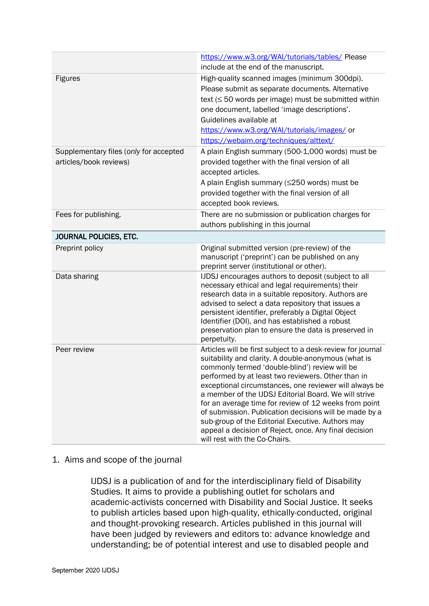| include at the end of the manuscript.<br>High-quality scanned images (minimum 300dpi).<br><b>Figures</b><br>Please submit as separate documents. Alternative<br>text $( \leq 50$ words per image) must be submitted within<br>one document, labelled 'image descriptions'.<br>Guidelines available at<br>https://www.w3.org/WAI/tutorials/images/ or<br>https://webaim.org/techniques/alttext/ |  |
|------------------------------------------------------------------------------------------------------------------------------------------------------------------------------------------------------------------------------------------------------------------------------------------------------------------------------------------------------------------------------------------------|--|
|                                                                                                                                                                                                                                                                                                                                                                                                |  |
|                                                                                                                                                                                                                                                                                                                                                                                                |  |
|                                                                                                                                                                                                                                                                                                                                                                                                |  |
|                                                                                                                                                                                                                                                                                                                                                                                                |  |
|                                                                                                                                                                                                                                                                                                                                                                                                |  |
|                                                                                                                                                                                                                                                                                                                                                                                                |  |
|                                                                                                                                                                                                                                                                                                                                                                                                |  |
| A plain English summary (500-1,000 words) must be<br>Supplementary files (only for accepted                                                                                                                                                                                                                                                                                                    |  |
| articles/book reviews)<br>provided together with the final version of all                                                                                                                                                                                                                                                                                                                      |  |
| accepted articles.                                                                                                                                                                                                                                                                                                                                                                             |  |
| A plain English summary (≤250 words) must be                                                                                                                                                                                                                                                                                                                                                   |  |
| provided together with the final version of all                                                                                                                                                                                                                                                                                                                                                |  |
| accepted book reviews.                                                                                                                                                                                                                                                                                                                                                                         |  |
| There are no submission or publication charges for<br>Fees for publishing.                                                                                                                                                                                                                                                                                                                     |  |
| authors publishing in this journal                                                                                                                                                                                                                                                                                                                                                             |  |
| JOURNAL POLICIES, ETC.                                                                                                                                                                                                                                                                                                                                                                         |  |
| Preprint policy<br>Original submitted version (pre-review) of the                                                                                                                                                                                                                                                                                                                              |  |
| manuscript ('preprint') can be published on any                                                                                                                                                                                                                                                                                                                                                |  |
| preprint server (institutional or other).                                                                                                                                                                                                                                                                                                                                                      |  |
| IJDSJ encourages authors to deposit (subject to all<br>Data sharing<br>necessary ethical and legal requirements) their                                                                                                                                                                                                                                                                         |  |
| research data in a suitable repository. Authors are                                                                                                                                                                                                                                                                                                                                            |  |
| advised to select a data repository that issues a                                                                                                                                                                                                                                                                                                                                              |  |
| persistent identifier, preferably a Digital Object                                                                                                                                                                                                                                                                                                                                             |  |
| Identifier (DOI), and has established a robust                                                                                                                                                                                                                                                                                                                                                 |  |
| preservation plan to ensure the data is preserved in                                                                                                                                                                                                                                                                                                                                           |  |
| perpetuity.<br>Articles will be first subject to a desk-review for journal<br>Peer review                                                                                                                                                                                                                                                                                                      |  |
| suitability and clarity. A double-anonymous (what is                                                                                                                                                                                                                                                                                                                                           |  |
| commonly termed 'double-blind') review will be                                                                                                                                                                                                                                                                                                                                                 |  |
| performed by at least two reviewers. Other than in                                                                                                                                                                                                                                                                                                                                             |  |
| exceptional circumstances, one reviewer will always be                                                                                                                                                                                                                                                                                                                                         |  |
| a member of the IJDSJ Editorial Board. We will strive                                                                                                                                                                                                                                                                                                                                          |  |
| for an average time for review of 12 weeks from point                                                                                                                                                                                                                                                                                                                                          |  |
| of submission. Publication decisions will be made by a<br>sub-group of the Editorial Executive. Authors may                                                                                                                                                                                                                                                                                    |  |
| appeal a decision of Reject, once. Any final decision                                                                                                                                                                                                                                                                                                                                          |  |
| will rest with the Co-Chairs.                                                                                                                                                                                                                                                                                                                                                                  |  |

### 1. Aims and scope of the journal

IJDSJ is a publication of and for the interdisciplinary field of Disability Studies. It aims to provide a publishing outlet for scholars and academic-activists concerned with Disability and Social Justice. It seeks to publish articles based upon high-quality, ethically-conducted, original and thought-provoking research. Articles published in this journal will have been judged by reviewers and editors to: advance knowledge and understanding; be of potential interest and use to disabled people and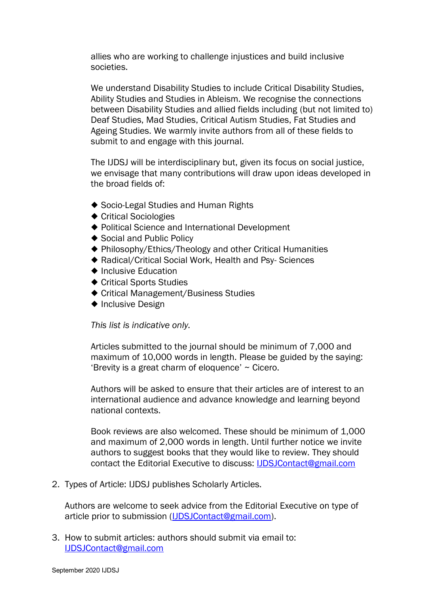allies who are working to challenge injustices and build inclusive societies.

We understand Disability Studies to include Critical Disability Studies, Ability Studies and Studies in Ableism. We recognise the connections between Disability Studies and allied fields including (but not limited to) Deaf Studies, Mad Studies, Critical Autism Studies, Fat Studies and Ageing Studies. We warmly invite authors from all of these fields to submit to and engage with this journal.

The IJDSJ will be interdisciplinary but, given its focus on social justice, we envisage that many contributions will draw upon ideas developed in the broad fields of:

- ◆ Socio-Legal Studies and Human Rights
- ◆ Critical Sociologies
- ◆ Political Science and International Development
- ◆ Social and Public Policy
- ◆ Philosophy/Ethics/Theology and other Critical Humanities
- ◆ Radical/Critical Social Work, Health and Psy- Sciences
- ◆ Inclusive Education
- ◆ Critical Sports Studies
- ◆ Critical Management/Business Studies
- ◆ Inclusive Design

*This list is indicative only.*

Articles submitted to the journal should be minimum of 7,000 and maximum of 10,000 words in length. Please be guided by the saying: 'Brevity is a great charm of eloquence' ~ Cicero.

Authors will be asked to ensure that their articles are of interest to an international audience and advance knowledge and learning beyond national contexts.

Book reviews are also welcomed. These should be minimum of 1,000 and maximum of 2,000 words in length. Until further notice we invite authors to suggest books that they would like to review. They should contact the Editorial Executive to discuss: [IJDSJContact@gmail.com](mailto:IJDSJContact@gmail.com)

2. Types of Article: IJDSJ publishes Scholarly Articles.

Authors are welcome to seek advice from the Editorial Executive on type of article prior to submission [\(IJDSJContact@gmail.com\)](mailto:IJDSJContact@gmail.com).

3. How to submit articles: authors should submit via email to: [IJDSJContact@gmail.com](mailto:IJDSJContact@gmail.com)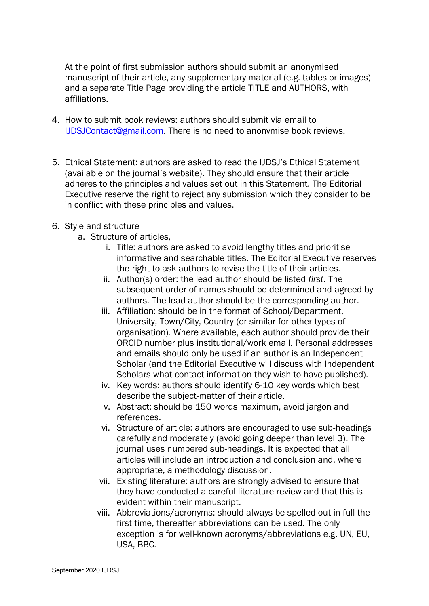At the point of first submission authors should submit an anonymised manuscript of their article, any supplementary material (e.g. tables or images) and a separate Title Page providing the article TITLE and AUTHORS, with affiliations.

- 4. How to submit book reviews: authors should submit via email to [IJDSJContact@gmail.com.](mailto:IJDSJContact@gmail.com) There is no need to anonymise book reviews.
- 5. Ethical Statement: authors are asked to read the IJDSJ's Ethical Statement (available on the journal's website). They should ensure that their article adheres to the principles and values set out in this Statement. The Editorial Executive reserve the right to reject any submission which they consider to be in conflict with these principles and values.
- 6. Style and structure
	- a. Structure of articles,
		- i. Title: authors are asked to avoid lengthy titles and prioritise informative and searchable titles. The Editorial Executive reserves the right to ask authors to revise the title of their articles.
		- ii. Author(s) order: the lead author should be listed *first*. The subsequent order of names should be determined and agreed by authors. The lead author should be the corresponding author.
		- iii. Affiliation: should be in the format of School/Department, University, Town/City, Country (or similar for other types of organisation). Where available, each author should provide their ORCID number plus institutional/work email. Personal addresses and emails should only be used if an author is an Independent Scholar (and the Editorial Executive will discuss with Independent Scholars what contact information they wish to have published).
		- iv. Key words: authors should identify 6-10 key words which best describe the subject-matter of their article.
		- v. Abstract: should be 150 words maximum, avoid jargon and references.
		- vi. Structure of article: authors are encouraged to use sub-headings carefully and moderately (avoid going deeper than level 3). The journal uses numbered sub-headings. It is expected that all articles will include an introduction and conclusion and, where appropriate, a methodology discussion.
		- vii. Existing literature: authors are strongly advised to ensure that they have conducted a careful literature review and that this is evident within their manuscript.
		- viii. Abbreviations/acronyms: should always be spelled out in full the first time, thereafter abbreviations can be used. The only exception is for well-known acronyms/abbreviations e.g. UN, EU, USA, BBC.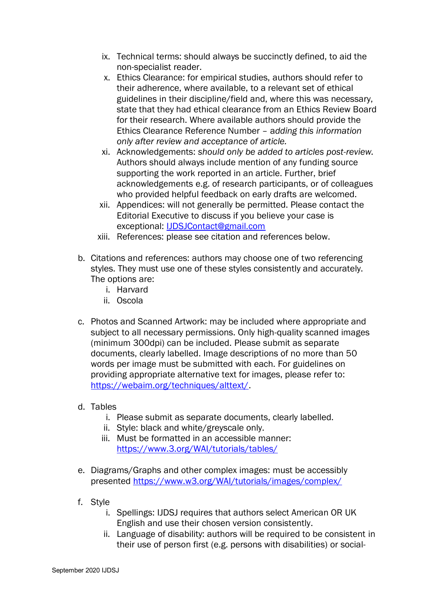- ix. Technical terms: should always be succinctly defined, to aid the non-specialist reader.
- x. Ethics Clearance: for empirical studies, authors should refer to their adherence, where available, to a relevant set of ethical guidelines in their discipline/field and, where this was necessary, state that they had ethical clearance from an Ethics Review Board for their research. Where available authors should provide the Ethics Clearance Reference Number – a*dding this information only after review and acceptance of article.*
- xi. Acknowledgements: *should only be added to articles post-review.* Authors should always include mention of any funding source supporting the work reported in an article. Further, brief acknowledgements e.g. of research participants, or of colleagues who provided helpful feedback on early drafts are welcomed.
- xii. Appendices: will not generally be permitted. Please contact the Editorial Executive to discuss if you believe your case is exceptional: [IJDSJContact@gmail.com](mailto:IJDSJContact@gmail.com)
- xiii. References: please see citation and references below.
- b. Citations and references: authors may choose one of two referencing styles. They must use one of these styles consistently and accurately. The options are:
	- i. Harvard
	- ii. Oscola
- c. Photos and Scanned Artwork: may be included where appropriate and subject to all necessary permissions. Only high-quality scanned images (minimum 300dpi) can be included. Please submit as separate documents, clearly labelled. Image descriptions of no more than 50 words per image must be submitted with each. For guidelines on providing appropriate alternative text for images, please refer to: [https://webaim.org/techniques/alttext/.](https://webaim.org/techniques/alttext/)
- d. Tables
	- i. Please submit as separate documents, clearly labelled.
	- ii. Style: black and white/greyscale only.
	- iii. Must be formatted in an accessible manner: <https://www.3.org/WAI/tutorials/tables/>
- e. Diagrams/Graphs and other complex images: must be accessibly presented <https://www.w3.org/WAI/tutorials/images/complex/>
- f. Style
	- i. Spellings: IJDSJ requires that authors select American OR UK English and use their chosen version consistently.
	- ii. Language of disability: authors will be required to be consistent in their use of person first (e.g. persons with disabilities) or social-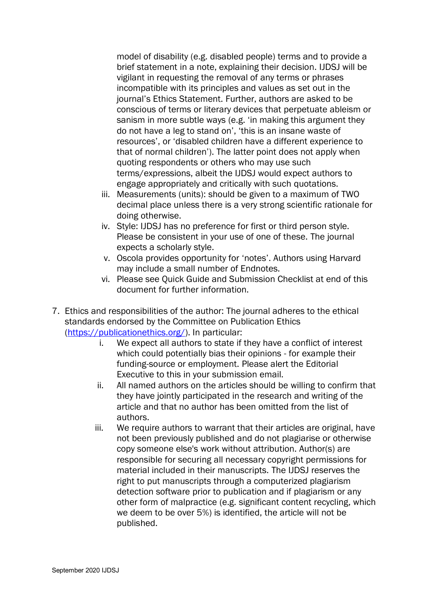model of disability (e.g. disabled people) terms and to provide a brief statement in a note, explaining their decision. IJDSJ will be vigilant in requesting the removal of any terms or phrases incompatible with its principles and values as set out in the journal's Ethics Statement. Further, authors are asked to be conscious of terms or literary devices that perpetuate ableism or sanism in more subtle ways (e.g. 'in making this argument they do not have a leg to stand on', 'this is an insane waste of resources', or 'disabled children have a different experience to that of normal children'). The latter point does not apply when quoting respondents or others who may use such terms/expressions, albeit the IJDSJ would expect authors to engage appropriately and critically with such quotations.

- iii. Measurements (units): should be given to a maximum of TWO decimal place unless there is a very strong scientific rationale for doing otherwise.
- iv. Style: IJDSJ has no preference for first or third person style. Please be consistent in your use of one of these. The journal expects a scholarly style.
- v. Oscola provides opportunity for 'notes'. Authors using Harvard may include a small number of Endnotes.
- vi. Please see Quick Guide and Submission Checklist at end of this document for further information.
- 7. Ethics and responsibilities of the author: The journal adheres to the ethical standards endorsed by the Committee on Publication Ethics [\(https://publicationethics.org/\)](https://publicationethics.org/). In particular:
	- i. We expect all authors to state if they have a conflict of interest which could potentially bias their opinions - for example their funding-source or employment. Please alert the Editorial Executive to this in your submission email.
	- ii. All named authors on the articles should be willing to confirm that they have jointly participated in the research and writing of the article and that no author has been omitted from the list of authors.
	- iii. We require authors to warrant that their articles are original, have not been previously published and do not plagiarise or otherwise copy someone else's work without attribution. Author(s) are responsible for securing all necessary copyright permissions for material included in their manuscripts. The IJDSJ reserves the right to put manuscripts through a computerized plagiarism detection software prior to publication and if plagiarism or any other form of malpractice (e.g. significant content recycling, which we deem to be over 5%) is identified, the article will not be published.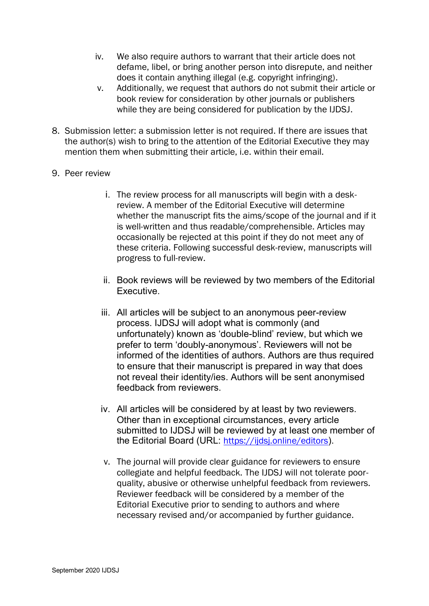- iv. We also require authors to warrant that their article does not defame, libel, or bring another person into disrepute, and neither does it contain anything illegal (e.g. copyright infringing).
- v. Additionally, we request that authors do not submit their article or book review for consideration by other journals or publishers while they are being considered for publication by the IJDSJ.
- 8. Submission letter: a submission letter is not required. If there are issues that the author(s) wish to bring to the attention of the Editorial Executive they may mention them when submitting their article, i.e. within their email.

### 9. Peer review

- i. The review process for all manuscripts will begin with a deskreview. A member of the Editorial Executive will determine whether the manuscript fits the aims/scope of the journal and if it is well-written and thus readable/comprehensible. Articles may occasionally be rejected at this point if they do not meet any of these criteria. Following successful desk-review, manuscripts will progress to full-review.
- ii. Book reviews will be reviewed by two members of the Editorial **Executive**
- iii. All articles will be subject to an anonymous peer-review process. IJDSJ will adopt what is commonly (and unfortunately) known as 'double-blind' review, but which we prefer to term 'doubly-anonymous'. Reviewers will not be informed of the identities of authors. Authors are thus required to ensure that their manuscript is prepared in way that does not reveal their identity/ies. Authors will be sent anonymised feedback from reviewers.
- iv. All articles will be considered by at least by two reviewers. Other than in exceptional circumstances, every article submitted to IJDSJ will be reviewed by at least one member of the Editorial Board (URL: <https://ijdsj.online/editors>).
- v. The journal will provide clear guidance for reviewers to ensure collegiate and helpful feedback. The IJDSJ will not tolerate poorquality, abusive or otherwise unhelpful feedback from reviewers. Reviewer feedback will be considered by a member of the Editorial Executive prior to sending to authors and where necessary revised and/or accompanied by further guidance.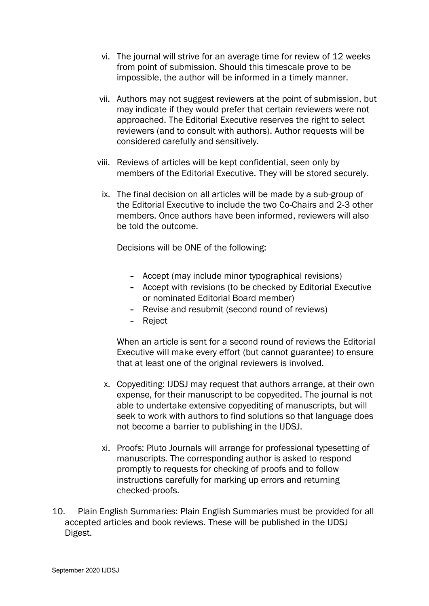- vi. The journal will strive for an average time for review of 12 weeks from point of submission. Should this timescale prove to be impossible, the author will be informed in a timely manner.
- vii. Authors may not suggest reviewers at the point of submission, but may indicate if they would prefer that certain reviewers were not approached. The Editorial Executive reserves the right to select reviewers (and to consult with authors). Author requests will be considered carefully and sensitively.
- viii. Reviews of articles will be kept confidential, seen only by members of the Editorial Executive. They will be stored securely.
	- ix. The final decision on all articles will be made by a sub-group of the Editorial Executive to include the two Co-Chairs and 2-3 other members. Once authors have been informed, reviewers will also be told the outcome.

Decisions will be ONE of the following:

- Accept (may include minor typographical revisions)
- Accept with revisions (to be checked by Editorial Executive or nominated Editorial Board member)
- Revise and resubmit (second round of reviews)
- Reject

When an article is sent for a second round of reviews the Editorial Executive will make every effort (but cannot guarantee) to ensure that at least one of the original reviewers is involved.

- x. Copyediting: IJDSJ may request that authors arrange, at their own expense, for their manuscript to be copyedited. The journal is not able to undertake extensive copyediting of manuscripts, but will seek to work with authors to find solutions so that language does not become a barrier to publishing in the IJDSJ.
- xi. Proofs: Pluto Journals will arrange for professional typesetting of manuscripts. The corresponding author is asked to respond promptly to requests for checking of proofs and to follow instructions carefully for marking up errors and returning checked-proofs.
- 10. Plain English Summaries: Plain English Summaries must be provided for all accepted articles and book reviews. These will be published in the IJDSJ Digest.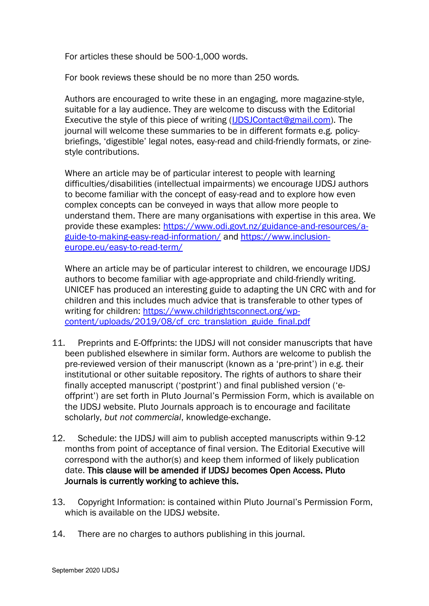For articles these should be 500-1,000 words.

For book reviews these should be no more than 250 words.

Authors are encouraged to write these in an engaging, more magazine-style, suitable for a lay audience. They are welcome to discuss with the Editorial Executive the style of this piece of writing [\(IJDSJContact@gmail.com\)](mailto:IJDSJContact@gmail.com). The journal will welcome these summaries to be in different formats e.g. policybriefings, 'digestible' legal notes, easy-read and child-friendly formats, or zinestyle contributions.

Where an article may be of particular interest to people with learning difficulties/disabilities (intellectual impairments) we encourage IJDSJ authors to become familiar with the concept of easy-read and to explore how even complex concepts can be conveyed in ways that allow more people to understand them. There are many organisations with expertise in this area. We provide these examples: [https://www.odi.govt.nz/guidance-and-resources/a](https://www.odi.govt.nz/guidance-and-resources/a-guide-to-making-easy-read-information/)[guide-to-making-easy-read-information/](https://www.odi.govt.nz/guidance-and-resources/a-guide-to-making-easy-read-information/) and [https://www.inclusion](https://www.inclusion-europe.eu/easy-to-read-term/)[europe.eu/easy-to-read-term/](https://www.inclusion-europe.eu/easy-to-read-term/)

Where an article may be of particular interest to children, we encourage IJDSJ authors to become familiar with age-appropriate and child-friendly writing. UNICEF has produced an interesting guide to adapting the UN CRC with and for children and this includes much advice that is transferable to other types of writing for children: [https://www.childrightsconnect.org/wp](https://www.childrightsconnect.org/wp-content/uploads/2019/08/cf_crc_translation_guide_final.pdf)[content/uploads/2019/08/cf\\_crc\\_translation\\_guide\\_final.pdf](https://www.childrightsconnect.org/wp-content/uploads/2019/08/cf_crc_translation_guide_final.pdf)

- 11. Preprints and E-Offprints: the IJDSJ will not consider manuscripts that have been published elsewhere in similar form. Authors are welcome to publish the pre-reviewed version of their manuscript (known as a 'pre-print') in e.g. their institutional or other suitable repository. The rights of authors to share their finally accepted manuscript ('postprint') and final published version ('eoffprint') are set forth in Pluto Journal's Permission Form, which is available on the IJDSJ website. Pluto Journals approach is to encourage and facilitate scholarly, *but not commercial*, knowledge-exchange.
- 12. Schedule: the IJDSJ will aim to publish accepted manuscripts within 9-12 months from point of acceptance of final version. The Editorial Executive will correspond with the author(s) and keep them informed of likely publication date. This clause will be amended if IJDSJ becomes Open Access. Pluto Journals is currently working to achieve this.
- 13. Copyright Information: is contained within Pluto Journal's Permission Form, which is available on the IJDSJ website.
- 14. There are no charges to authors publishing in this journal.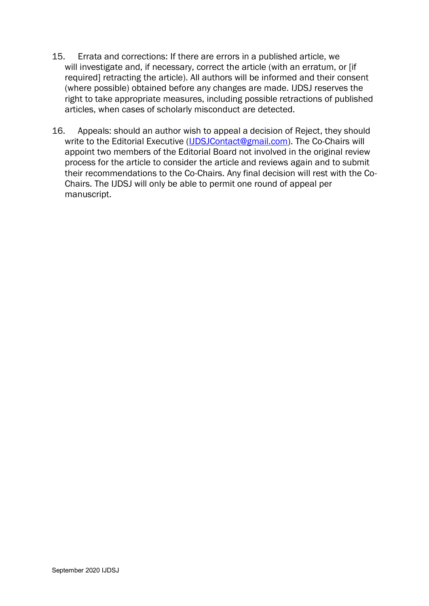- 15. Errata and corrections: If there are errors in a published article, we will investigate and, if necessary, correct the article (with an erratum, or [if required] retracting the article). All authors will be informed and their consent (where possible) obtained before any changes are made. IJDSJ reserves the right to take appropriate measures, including possible retractions of published articles, when cases of scholarly misconduct are detected.
- 16. Appeals: should an author wish to appeal a decision of Reject, they should write to the Editorial Executive [\(IJDSJContact@gmail.com\)](mailto:IJDSJContact@gmail.com). The Co-Chairs will appoint two members of the Editorial Board not involved in the original review process for the article to consider the article and reviews again and to submit their recommendations to the Co-Chairs. Any final decision will rest with the Co-Chairs. The IJDSJ will only be able to permit one round of appeal per manuscript.